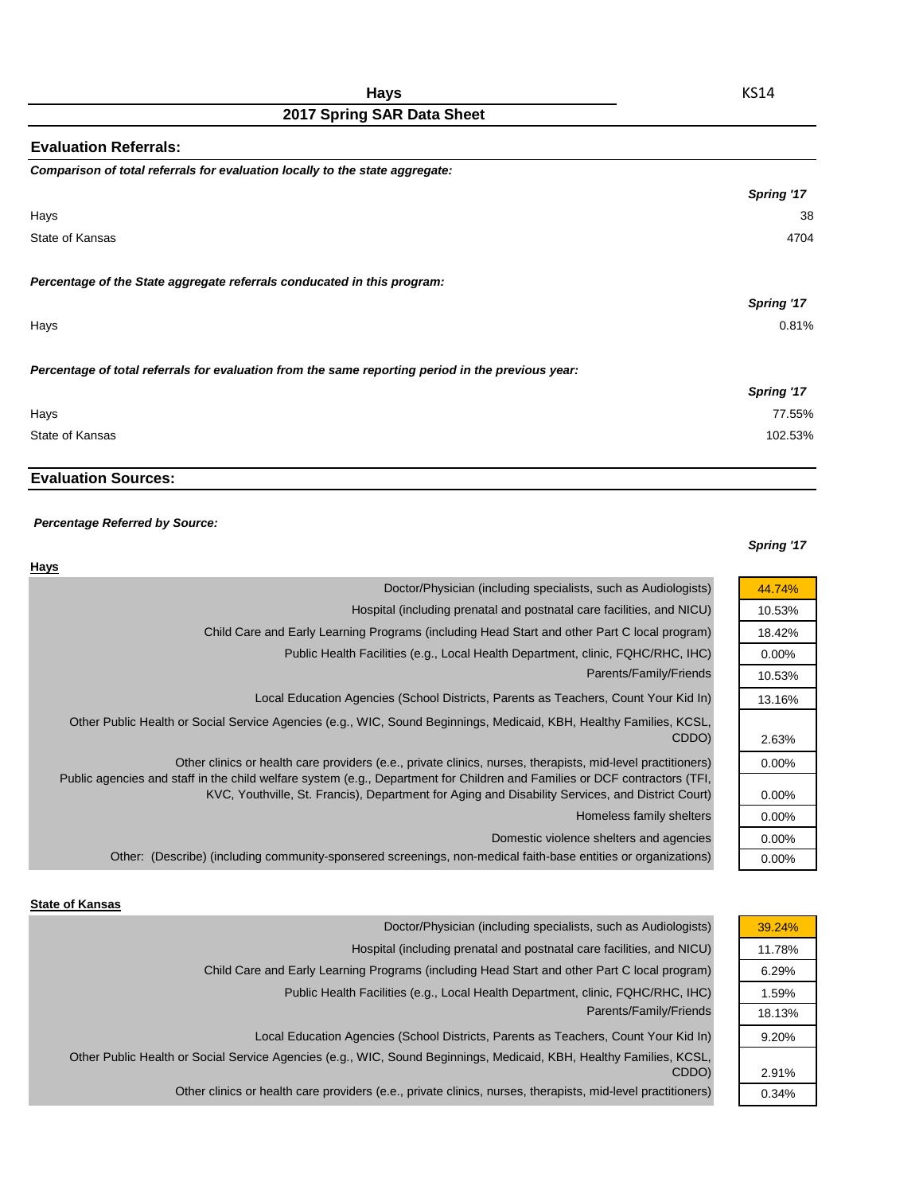| <b>Evaluation Referrals:</b>                                                                      |            |
|---------------------------------------------------------------------------------------------------|------------|
| Comparison of total referrals for evaluation locally to the state aggregate:                      |            |
|                                                                                                   | Spring '17 |
| Hays                                                                                              | 38         |
| State of Kansas                                                                                   | 4704       |
| Percentage of the State aggregate referrals conducated in this program:                           |            |
|                                                                                                   | Spring '17 |
| Hays                                                                                              | 0.81%      |
| Percentage of total referrals for evaluation from the same reporting period in the previous year: |            |
|                                                                                                   | Spring '17 |
| Hays                                                                                              | 77.55%     |
| State of Kansas                                                                                   | 102.53%    |

# **Evaluation Sources:**

## *Percentage Referred by Source:*

## *Spring '17*

| <b>Hays</b>                                                                                                                                                                                                                               |          |
|-------------------------------------------------------------------------------------------------------------------------------------------------------------------------------------------------------------------------------------------|----------|
| Doctor/Physician (including specialists, such as Audiologists)                                                                                                                                                                            | 44.74%   |
| Hospital (including prenatal and postnatal care facilities, and NICU)                                                                                                                                                                     | 10.53%   |
| Child Care and Early Learning Programs (including Head Start and other Part C local program)                                                                                                                                              | 18.42%   |
| Public Health Facilities (e.g., Local Health Department, clinic, FQHC/RHC, IHC)                                                                                                                                                           | $0.00\%$ |
| Parents/Family/Friends                                                                                                                                                                                                                    | 10.53%   |
| Local Education Agencies (School Districts, Parents as Teachers, Count Your Kid In)                                                                                                                                                       | 13.16%   |
| Other Public Health or Social Service Agencies (e.g., WIC, Sound Beginnings, Medicaid, KBH, Healthy Families, KCSL,<br>CDDO)                                                                                                              | 2.63%    |
| Other clinics or health care providers (e.e., private clinics, nurses, therapists, mid-level practitioners)<br>Public agencies and staff in the child welfare system (e.g., Department for Children and Families or DCF contractors (TFI, | $0.00\%$ |
| KVC, Youthville, St. Francis), Department for Aging and Disability Services, and District Court)                                                                                                                                          | $0.00\%$ |
| Homeless family shelters                                                                                                                                                                                                                  | $0.00\%$ |
| Domestic violence shelters and agencies                                                                                                                                                                                                   | $0.00\%$ |
| Other: (Describe) (including community-sponsered screenings, non-medical faith-base entities or organizations)                                                                                                                            | $0.00\%$ |

#### **State of Kansas**

| Doctor/Physician (including specialists, such as Audiologists)                                                      | 39.24% |
|---------------------------------------------------------------------------------------------------------------------|--------|
| Hospital (including prenatal and postnatal care facilities, and NICU)                                               | 11.78% |
| Child Care and Early Learning Programs (including Head Start and other Part C local program)                        | 6.29%  |
| Public Health Facilities (e.g., Local Health Department, clinic, FQHC/RHC, IHC)                                     | 1.59%  |
| Parents/Family/Friends                                                                                              | 18.13% |
| Local Education Agencies (School Districts, Parents as Teachers, Count Your Kid In)                                 | 9.20%  |
| Other Public Health or Social Service Agencies (e.g., WIC, Sound Beginnings, Medicaid, KBH, Healthy Families, KCSL, |        |
| CDDO)                                                                                                               | 2.91%  |
| Other clinics or health care providers (e.e., private clinics, nurses, therapists, mid-level practitioners)         | 0.34%  |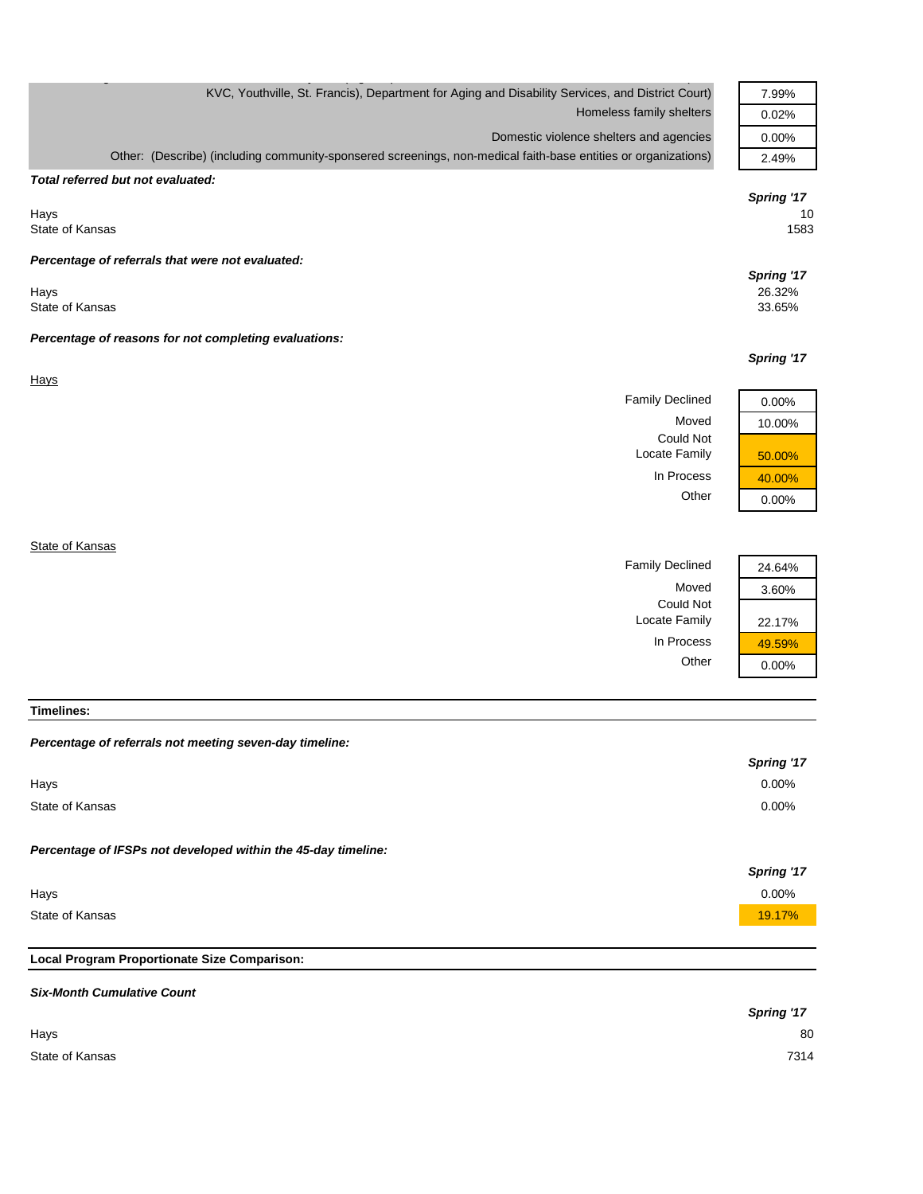| KVC, Youthville, St. Francis), Department for Aging and Disability Services, and District Court)               | 7.99%                    |
|----------------------------------------------------------------------------------------------------------------|--------------------------|
| Homeless family shelters                                                                                       | 0.02%                    |
| Domestic violence shelters and agencies                                                                        | 0.00%                    |
| Other: (Describe) (including community-sponsered screenings, non-medical faith-base entities or organizations) | 2.49%                    |
| Total referred but not evaluated:                                                                              |                          |
| Hays<br>State of Kansas                                                                                        | Spring '17<br>10<br>1583 |
| Percentage of referrals that were not evaluated:                                                               | Spring '17               |
| Hays<br>State of Kansas                                                                                        | 26.32%<br>33.65%         |
| Percentage of reasons for not completing evaluations:                                                          |                          |
|                                                                                                                | Spring '17               |
| <b>Hays</b>                                                                                                    |                          |
| <b>Family Declined</b>                                                                                         | 0.00%                    |
| Moved                                                                                                          | 10.00%                   |
| Could Not<br>Locate Family                                                                                     | 50.00%                   |
| In Process                                                                                                     | 40.00%                   |

g y (  $g$  , p  $g$  ,  $g$  ,  $g$  ,  $g$  ,  $g$  ,  $g$  ,  $g$  ,  $g$  ,  $g$  ,  $g$  ,  $g$  ,  $g$  ,  $g$  ,  $g$  ,  $g$  ,  $g$  ,  $g$  ,  $g$  ,  $g$  ,  $g$  ,  $g$  ,  $g$  ,  $g$  ,  $g$  ,  $g$  ,  $g$  ,  $g$  ,  $g$  ,  $g$  ,  $g$  ,  $g$  ,  $g$  ,  $g$  ,  $g$  ,  $g$ 

**State of Kansas** 

| ic or nanoas           |          |
|------------------------|----------|
| <b>Family Declined</b> | 24.64%   |
| Moved                  | 3.60%    |
| Could Not              |          |
| Locate Family          | 22.17%   |
| In Process             | 49.59%   |
| Other                  | $0.00\%$ |
|                        |          |

Other 0.00%

r

**Timelines:**

# *Percentage of referrals not meeting seven-day timeline:*

|                                                               | Spring '17 |
|---------------------------------------------------------------|------------|
| Hays                                                          | $0.00\%$   |
| State of Kansas                                               | $0.00\%$   |
| Percentage of IFSPs not developed within the 45-day timeline: | Spring '17 |
| Hays                                                          | $0.00\%$   |
| State of Kansas                                               | 19.17%     |
|                                                               |            |

## **Local Program Proportionate Size Comparison:**

| <b>Six-Month Cumulative Count</b> |            |
|-----------------------------------|------------|
|                                   | Spring '17 |
| Hays                              | 80         |
| State of Kansas                   | 7314       |
|                                   |            |